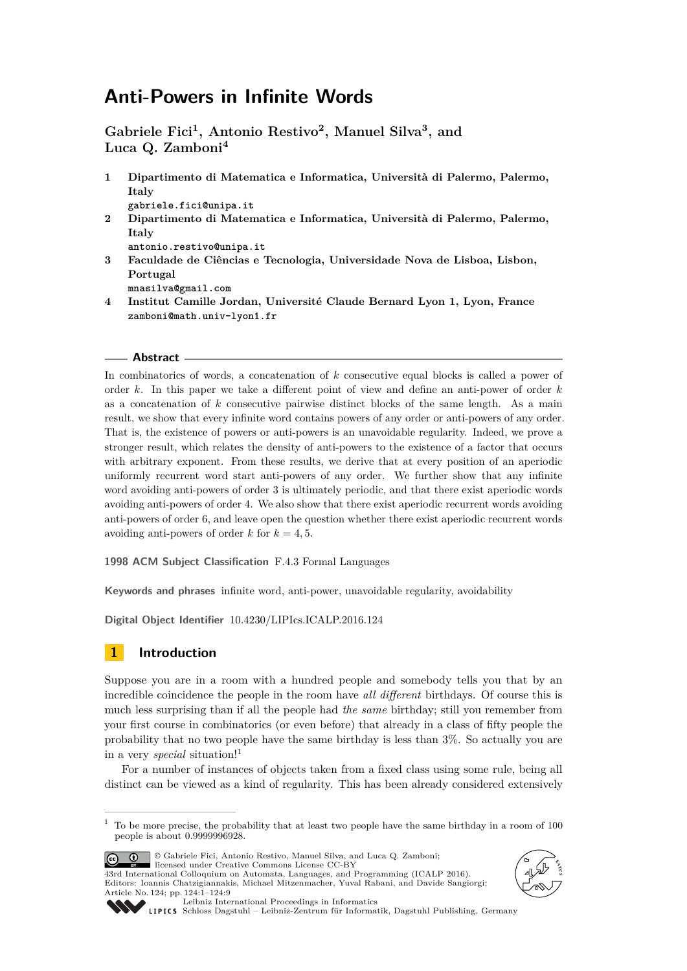# **Anti-Powers in Infinite Words**

**Gabriele Fici<sup>1</sup> , Antonio Restivo<sup>2</sup> , Manuel Silva<sup>3</sup> , and Luca Q. Zamboni<sup>4</sup>**

- **1 Dipartimento di Matematica e Informatica, Università di Palermo, Palermo, Italy gabriele.fici@unipa.it**
- **2 Dipartimento di Matematica e Informatica, Università di Palermo, Palermo, Italy**

**antonio.restivo@unipa.it**

**3 Faculdade de Ciências e Tecnologia, Universidade Nova de Lisboa, Lisbon, Portugal**

**mnasilva@gmail.com**

**4 Institut Camille Jordan, Université Claude Bernard Lyon 1, Lyon, France zamboni@math.univ-lyon1.fr**

#### **Abstract**

In combinatorics of words, a concatenation of *k* consecutive equal blocks is called a power of order *k*. In this paper we take a different point of view and define an anti-power of order *k* as a concatenation of *k* consecutive pairwise distinct blocks of the same length. As a main result, we show that every infinite word contains powers of any order or anti-powers of any order. That is, the existence of powers or anti-powers is an unavoidable regularity. Indeed, we prove a stronger result, which relates the density of anti-powers to the existence of a factor that occurs with arbitrary exponent. From these results, we derive that at every position of an aperiodic uniformly recurrent word start anti-powers of any order. We further show that any infinite word avoiding anti-powers of order 3 is ultimately periodic, and that there exist aperiodic words avoiding anti-powers of order 4. We also show that there exist aperiodic recurrent words avoiding anti-powers of order 6, and leave open the question whether there exist aperiodic recurrent words avoiding anti-powers of order  $k$  for  $k = 4, 5$ .

**1998 ACM Subject Classification** F.4.3 Formal Languages

**Keywords and phrases** infinite word, anti-power, unavoidable regularity, avoidability

**Digital Object Identifier** [10.4230/LIPIcs.ICALP.2016.124](http://dx.doi.org/10.4230/LIPIcs.ICALP.2016.124)

# **1 Introduction**

Suppose you are in a room with a hundred people and somebody tells you that by an incredible coincidence the people in the room have *all different* birthdays. Of course this is much less surprising than if all the people had *the same* birthday; still you remember from your first course in combinatorics (or even before) that already in a class of fifty people the probability that no two people have the same birthday is less than 3%. So actually you are in a very *special* situation![1](#page-0-0)

For a number of instances of objects taken from a fixed class using some rule, being all distinct can be viewed as a kind of regularity. This has been already considered extensively

<span id="page-0-0"></span> $1$  To be more precise, the probability that at least two people have the same birthday in a room of 100 people is about 0.9999996928.



© Gabriele Fici, Antonio Restivo, Manuel Silva, and Luca Q. Zamboni; licensed under Creative Commons License CC-BY 43rd International Colloquium on Automata, Languages, and Programming (ICALP 2016).

Editors: Ioannis Chatzigiannakis, Michael Mitzenmacher, Yuval Rabani, and Davide Sangiorgi; Article No. 124; pp. 124:1–124[:9](#page-8-0)





[Leibniz International Proceedings in Informatics](http://www.dagstuhl.de/lipics/)

[Schloss Dagstuhl – Leibniz-Zentrum für Informatik, Dagstuhl Publishing, Germany](http://www.dagstuhl.de)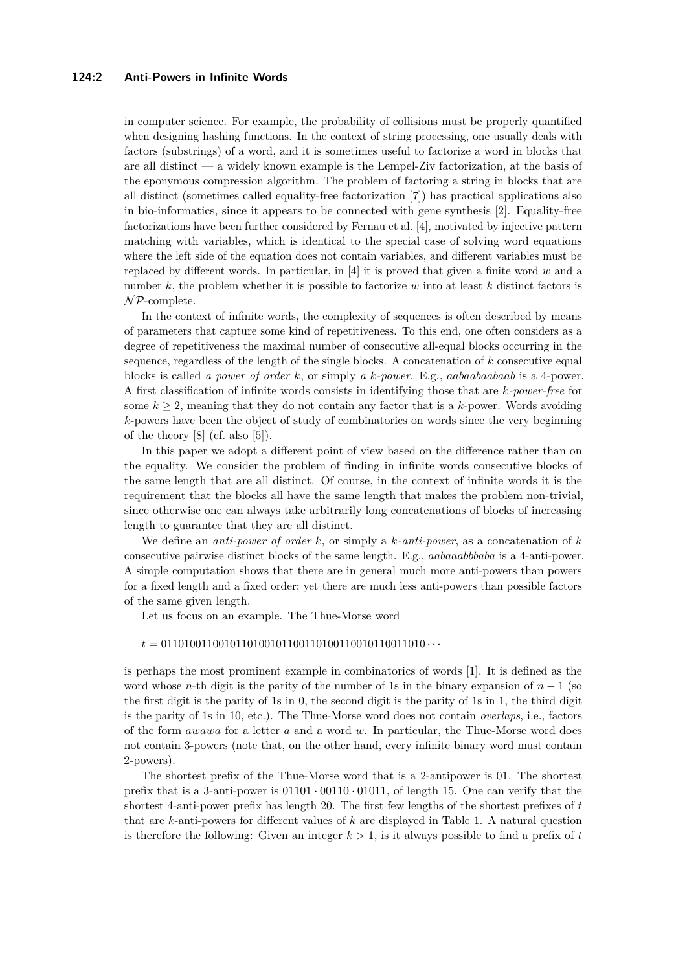#### **124:2 Anti-Powers in Infinite Words**

in computer science. For example, the probability of collisions must be properly quantified when designing hashing functions. In the context of string processing, one usually deals with factors (substrings) of a word, and it is sometimes useful to factorize a word in blocks that are all distinct — a widely known example is the Lempel-Ziv factorization, at the basis of the eponymous compression algorithm. The problem of factoring a string in blocks that are all distinct (sometimes called equality-free factorization [\[7\]](#page-8-1)) has practical applications also in bio-informatics, since it appears to be connected with gene synthesis [\[2\]](#page-8-2). Equality-free factorizations have been further considered by Fernau et al. [\[4\]](#page-8-3), motivated by injective pattern matching with variables, which is identical to the special case of solving word equations where the left side of the equation does not contain variables, and different variables must be replaced by different words. In particular, in [\[4\]](#page-8-3) it is proved that given a finite word *w* and a number *k*, the problem whether it is possible to factorize *w* into at least *k* distinct factors is  $\mathcal{NP}$ -complete.

In the context of infinite words, the complexity of sequences is often described by means of parameters that capture some kind of repetitiveness. To this end, one often considers as a degree of repetitiveness the maximal number of consecutive all-equal blocks occurring in the sequence, regardless of the length of the single blocks. A concatenation of *k* consecutive equal blocks is called *a power of order k*, or simply *a k-power*. E.g., *aabaabaabaab* is a 4-power. A first classification of infinite words consists in identifying those that are *k-power-free* for some  $k \geq 2$ , meaning that they do not contain any factor that is a k-power. Words avoiding *k*-powers have been the object of study of combinatorics on words since the very beginning of the theory [\[8\]](#page-8-4) (cf. also [\[5\]](#page-8-5)).

In this paper we adopt a different point of view based on the difference rather than on the equality. We consider the problem of finding in infinite words consecutive blocks of the same length that are all distinct. Of course, in the context of infinite words it is the requirement that the blocks all have the same length that makes the problem non-trivial, since otherwise one can always take arbitrarily long concatenations of blocks of increasing length to guarantee that they are all distinct.

We define an *anti-power of order k*, or simply a *k-anti-power*, as a concatenation of *k* consecutive pairwise distinct blocks of the same length. E.g., *aabaaabbbaba* is a 4-anti-power. A simple computation shows that there are in general much more anti-powers than powers for a fixed length and a fixed order; yet there are much less anti-powers than possible factors of the same given length.

Let us focus on an example. The Thue-Morse word

#### *t* = 0110100110010110100101100110100110010110011010 · · ·

is perhaps the most prominent example in combinatorics of words [\[1\]](#page-8-6). It is defined as the word whose *n*-th digit is the parity of the number of 1s in the binary expansion of  $n-1$  (so the first digit is the parity of 1s in 0, the second digit is the parity of 1s in 1, the third digit is the parity of 1s in 10, etc.). The Thue-Morse word does not contain *overlaps*, i.e., factors of the form *awawa* for a letter *a* and a word *w*. In particular, the Thue-Morse word does not contain 3-powers (note that, on the other hand, every infinite binary word must contain 2-powers).

The shortest prefix of the Thue-Morse word that is a 2-antipower is 01. The shortest prefix that is a 3-anti-power is  $01101 \cdot 00110 \cdot 01011$ , of length 15. One can verify that the shortest 4-anti-power prefix has length 20. The first few lengths of the shortest prefixes of *t* that are *k*-anti-powers for different values of *k* are displayed in Table [1.](#page-2-0) A natural question is therefore the following: Given an integer  $k > 1$ , is it always possible to find a prefix of t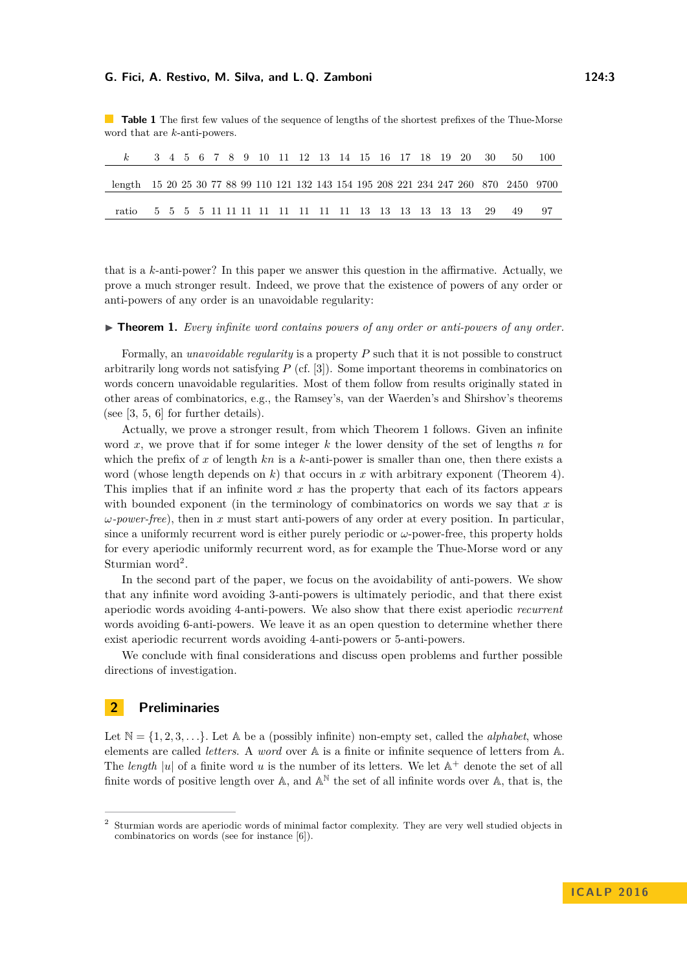<span id="page-2-0"></span>**Table 1** The first few values of the sequence of lengths of the shortest prefixes of the Thue-Morse word that are *k*-anti-powers.

|                                                                                       |  |  |  |  |  |  |  |  |  | 3 4 5 6 7 8 9 10 11 12 13 14 15 16 17 18 19 20 30 | -50 |  |
|---------------------------------------------------------------------------------------|--|--|--|--|--|--|--|--|--|---------------------------------------------------|-----|--|
|                                                                                       |  |  |  |  |  |  |  |  |  |                                                   |     |  |
| length 15 20 25 30 77 88 99 110 121 132 143 154 195 208 221 234 247 260 870 2450 9700 |  |  |  |  |  |  |  |  |  |                                                   |     |  |
|                                                                                       |  |  |  |  |  |  |  |  |  |                                                   |     |  |
| ratio                                                                                 |  |  |  |  |  |  |  |  |  |                                                   |     |  |

that is a *k*-anti-power? In this paper we answer this question in the affirmative. Actually, we prove a much stronger result. Indeed, we prove that the existence of powers of any order or anti-powers of any order is an unavoidable regularity:

<span id="page-2-1"></span>▶ **Theorem 1.** *Every infinite word contains powers of any order or anti-powers of any order.* 

Formally, an *unavoidable regularity* is a property *P* such that it is not possible to construct arbitrarily long words not satisfying *P* (cf. [\[3\]](#page-8-7)). Some important theorems in combinatorics on words concern unavoidable regularities. Most of them follow from results originally stated in other areas of combinatorics, e.g., the Ramsey's, van der Waerden's and Shirshov's theorems (see [\[3,](#page-8-7) [5,](#page-8-5) [6\]](#page-8-8) for further details).

Actually, we prove a stronger result, from which Theorem [1](#page-2-1) follows. Given an infinite word *x*, we prove that if for some integer *k* the lower density of the set of lengths *n* for which the prefix of *x* of length *kn* is a *k*-anti-power is smaller than one, then there exists a word (whose length depends on *k*) that occurs in *x* with arbitrary exponent (Theorem [4\)](#page-4-0). This implies that if an infinite word *x* has the property that each of its factors appears with bounded exponent (in the terminology of combinatorics on words we say that *x* is *ω-power-free*), then in *x* must start anti-powers of any order at every position. In particular, since a uniformly recurrent word is either purely periodic or *ω*-power-free, this property holds for every aperiodic uniformly recurrent word, as for example the Thue-Morse word or any Sturmian word<sup>[2](#page-2-2)</sup>.

In the second part of the paper, we focus on the avoidability of anti-powers. We show that any infinite word avoiding 3-anti-powers is ultimately periodic, and that there exist aperiodic words avoiding 4-anti-powers. We also show that there exist aperiodic *recurrent* words avoiding 6-anti-powers. We leave it as an open question to determine whether there exist aperiodic recurrent words avoiding 4-anti-powers or 5-anti-powers.

We conclude with final considerations and discuss open problems and further possible directions of investigation.

## **2 Preliminaries**

Let  $\mathbb{N} = \{1, 2, 3, \ldots\}$ . Let  $\mathbb{A}$  be a (possibly infinite) non-empty set, called the *alphabet*, whose elements are called *letters*. A *word* over A is a finite or infinite sequence of letters from A. The *length* | $u$ | of a finite word  $u$  is the number of its letters. We let  $\mathbb{A}^+$  denote the set of all finite words of positive length over A, and  $A^{\mathbb{N}}$  the set of all infinite words over A, that is, the

<span id="page-2-2"></span><sup>2</sup> Sturmian words are aperiodic words of minimal factor complexity. They are very well studied objects in combinatorics on words (see for instance [\[6\]](#page-8-8)).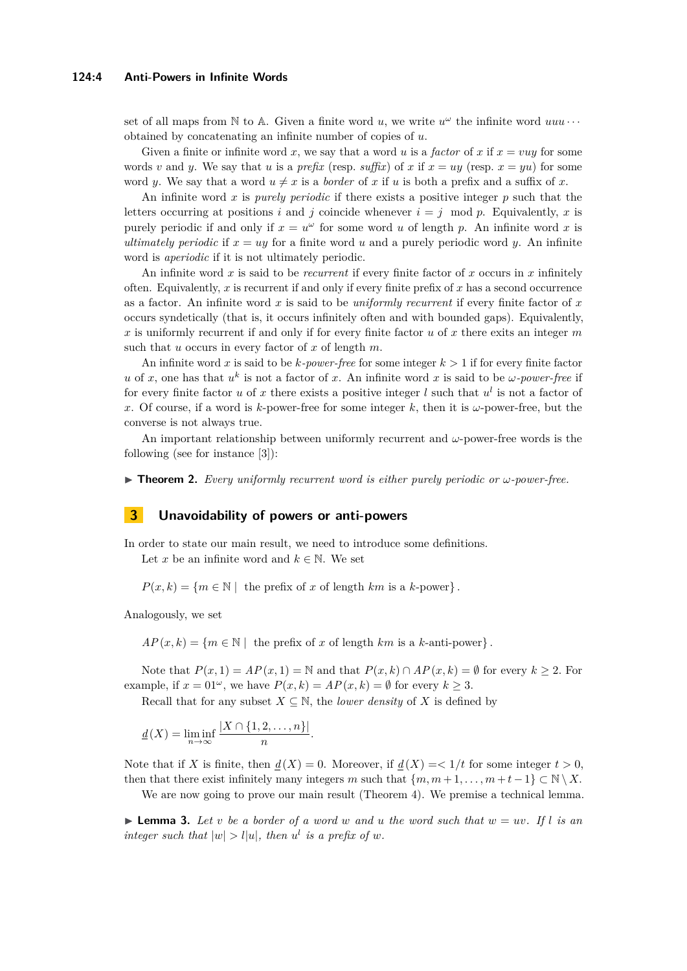set of all maps from  $\mathbb N$  to  $\mathbb A$ . Given a finite word  $u$ , we write  $u^{\omega}$  the infinite word  $uuu \cdots$ obtained by concatenating an infinite number of copies of *u*.

Given a finite or infinite word x, we say that a word u is a *factor* of x if  $x = vuy$  for some words *v* and *y*. We say that *u* is a *prefix* (resp. *suffix*) of *x* if  $x = uy$  (resp.  $x = yu$ ) for some word *y*. We say that a word  $u \neq x$  is a *border* of *x* if *u* is both a prefix and a suffix of *x*.

An infinite word *x* is *purely periodic* if there exists a positive integer *p* such that the letters occurring at positions *i* and *j* coincide whenever  $i = j \mod p$ . Equivalently, *x* is purely periodic if and only if  $x = u^{\omega}$  for some word *u* of length *p*. An infinite word *x* is *ultimately periodic* if  $x = uy$  for a finite word *u* and a purely periodic word *y*. An infinite word is *aperiodic* if it is not ultimately periodic.

An infinite word *x* is said to be *recurrent* if every finite factor of *x* occurs in *x* infinitely often. Equivalently, *x* is recurrent if and only if every finite prefix of *x* has a second occurrence as a factor. An infinite word *x* is said to be *uniformly recurrent* if every finite factor of *x* occurs syndetically (that is, it occurs infinitely often and with bounded gaps). Equivalently, *x* is uniformly recurrent if and only if for every finite factor *u* of *x* there exits an integer *m* such that *u* occurs in every factor of *x* of length *m*.

An infinite word *x* is said to be *k-power-free* for some integer *k >* 1 if for every finite factor *u* of *x*, one has that  $u^k$  is not a factor of *x*. An infinite word *x* is said to be *ω-power-free* if for every finite factor *u* of *x* there exists a positive integer *l* such that  $u^l$  is not a factor of *x*. Of course, if a word is *k*-power-free for some integer *k*, then it is *ω*-power-free, but the converse is not always true.

An important relationship between uniformly recurrent and *ω*-power-free words is the following (see for instance [\[3\]](#page-8-7)):

<span id="page-3-1"></span>**In Theorem 2.** *Every uniformly recurrent word is either purely periodic or*  $\omega$ *-power-free.* 

### **3 Unavoidability of powers or anti-powers**

In order to state our main result, we need to introduce some definitions.

Let *x* be an infinite word and  $k \in \mathbb{N}$ . We set

 $P(x, k) = \{m \in \mathbb{N} \mid \text{ the prefix of } x \text{ of length } km \text{ is a } k\text{-power}\}.$ 

Analogously, we set

 $AP(x, k) = \{m \in \mathbb{N} \mid \text{ the prefix of } x \text{ of length } km \text{ is a } k\text{-anti-power}\}.$ 

Note that  $P(x, 1) = AP(x, 1) = \mathbb{N}$  and that  $P(x, k) \cap AP(x, k) = \emptyset$  for every  $k \geq 2$ . For example, if  $x = 01^{\omega}$ , we have  $P(x, k) = AP(x, k) = \emptyset$  for every  $k > 3$ .

Recall that for any subset  $X \subseteq \mathbb{N}$ , the *lower density* of *X* is defined by

 $\underline{d}(X) = \liminf_{n \to \infty}$  $|X \cap \{1, 2, \ldots, n\}|$  $\frac{2, \ldots, n_{j}}{n}$ .

Note that if *X* is finite, then  $d(X) = 0$ . Moreover, if  $d(X) = \langle 1/t \text{ for some integer } t > 0$ , then that there exist infinitely many integers *m* such that  $\{m, m+1, \ldots, m+t-1\} \subset \mathbb{N} \setminus X$ .

We are now going to prove our main result (Theorem [4\)](#page-4-0). We premise a technical lemma.

<span id="page-3-0"></span> $\blacktriangleright$  **Lemma 3.** Let *v* be a border of a word *w* and *u* the word such that  $w = uv$ . If l is an *integer such that*  $|w| > l|u|$ *, then*  $u^l$  *is a prefix of w.*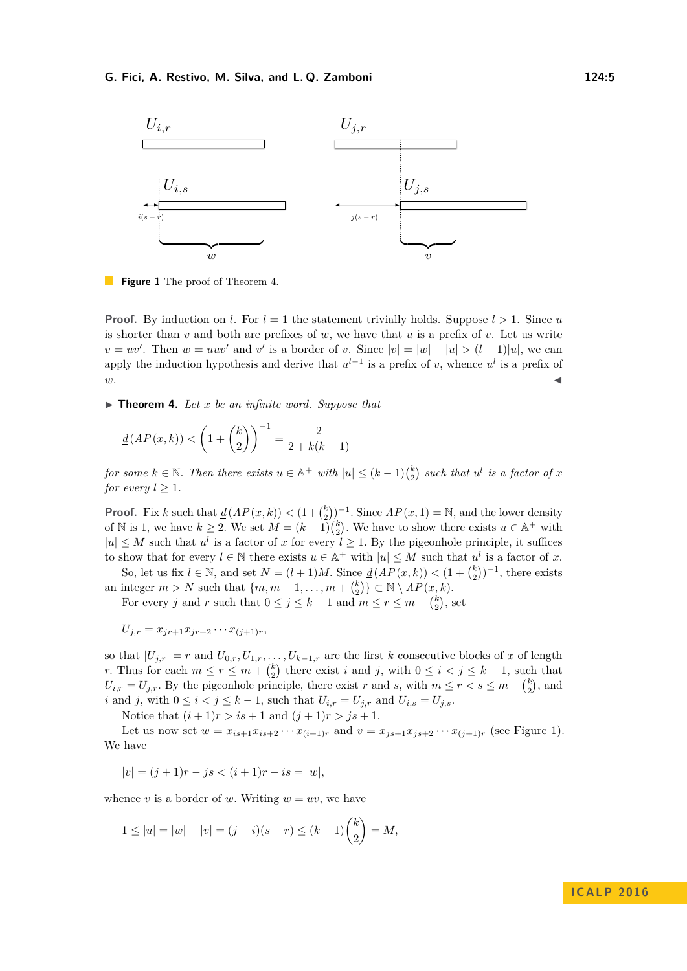#### **G. Fici, A. Restivo, M. Silva, and L. Q. Zamboni 124:5**

<span id="page-4-1"></span>

**Figure 1** The proof of Theorem [4.](#page-4-0)

**Proof.** By induction on *l*. For  $l = 1$  the statement trivially holds. Suppose  $l > 1$ . Since *u* is shorter than  $v$  and both are prefixes of  $w$ , we have that  $u$  is a prefix of  $v$ . Let us write  $v = uv'$ . Then  $w = uuv'$  and  $v'$  is a border of *v*. Since  $|v| = |w| - |u| > (l-1)|u|$ , we can apply the induction hypothesis and derive that  $u^{l-1}$  is a prefix of *v*, whence  $u^l$  is a prefix of  $w$ .

<span id="page-4-0"></span>▶ **Theorem 4.** Let *x* be an infinite word. Suppose that

$$
\underline{d}(AP(x,k)) < \left(1 + \binom{k}{2}\right)^{-1} = \frac{2}{2 + k(k-1)}
$$

 $f \circ f$  *for some*  $k \in \mathbb{N}$ . Then there exists  $u \in \mathbb{A}^+$  with  $|u| \leq (k-1)\binom{k}{2}$  such that  $u^l$  is a factor of x *for every*  $l > 1$ *.* 

**Proof.** Fix *k* such that  $\underline{d}(AP(x,k)) < (1 + \binom{k}{2})^{-1}$ . Since  $AP(x,1) = \mathbb{N}$ , and the lower density of N is 1, we have  $k \geq 2$ . We set  $M = (k-1) {k \choose 2}$ . We have to show there exists  $u \in \mathbb{A}^+$  with  $|u| \leq M$  such that  $u^l$  is a factor of *x* for every  $l \geq 1$ . By the pigeonhole principle, it suffices to show that for every  $l \in \mathbb{N}$  there exists  $u \in \mathbb{A}^+$  with  $|u| \leq M$  such that  $u^l$  is a factor of x.

So, let us fix  $l \in \mathbb{N}$ , and set  $N = (l+1)M$ . Since  $\underline{d}(AP(x,k)) < (1 + \binom{k}{2})^{-1}$ , there exists an integer  $m > N$  such that  $\{m, m + 1, \ldots, m + {k \choose 2}\} \subset \mathbb{N} \setminus AP(x, k)$ .

For every *j* and *r* such that  $0 \le j \le k - 1$  and  $m \le r \le m + \binom{k}{2}$ , set

$$
U_{j,r}=x_{jr+1}x_{jr+2}\cdots x_{(j+1)r},
$$

so that  $|U_{j,r}| = r$  and  $U_{0,r}, U_{1,r}, \ldots, U_{k-1,r}$  are the first *k* consecutive blocks of *x* of length *r*. Thus for each  $m \leq r \leq m + {k \choose 2}$  there exist *i* and *j*, with  $0 \leq i \leq j \leq k - 1$ , such that  $U_{i,r} = U_{j,r}$ . By the pigeonhole principle, there exist *r* and *s*, with  $m \leq r < s \leq m + \binom{k}{2}$ , and *i* and *j*, with  $0 \le i < j \le k - 1$ , such that  $U_{i,r} = U_{j,r}$  and  $U_{i,s} = U_{j,s}$ .

Notice that  $(i + 1)r > is + 1$  and  $(j + 1)r > js + 1$ .

Let us now set  $w = x_{is+1}x_{is+2}\cdots x_{(i+1)r}$  and  $v = x_{js+1}x_{js+2}\cdots x_{(j+1)r}$  (see Figure [1\)](#page-4-1). We have

 $|v| = (i + 1)r - is < (i + 1)r - is = |w|$ ,

whence *v* is a border of *w*. Writing  $w = uv$ , we have

$$
1 \le |u| = |w| - |v| = (j - i)(s - r) \le (k - 1)\binom{k}{2} = M,
$$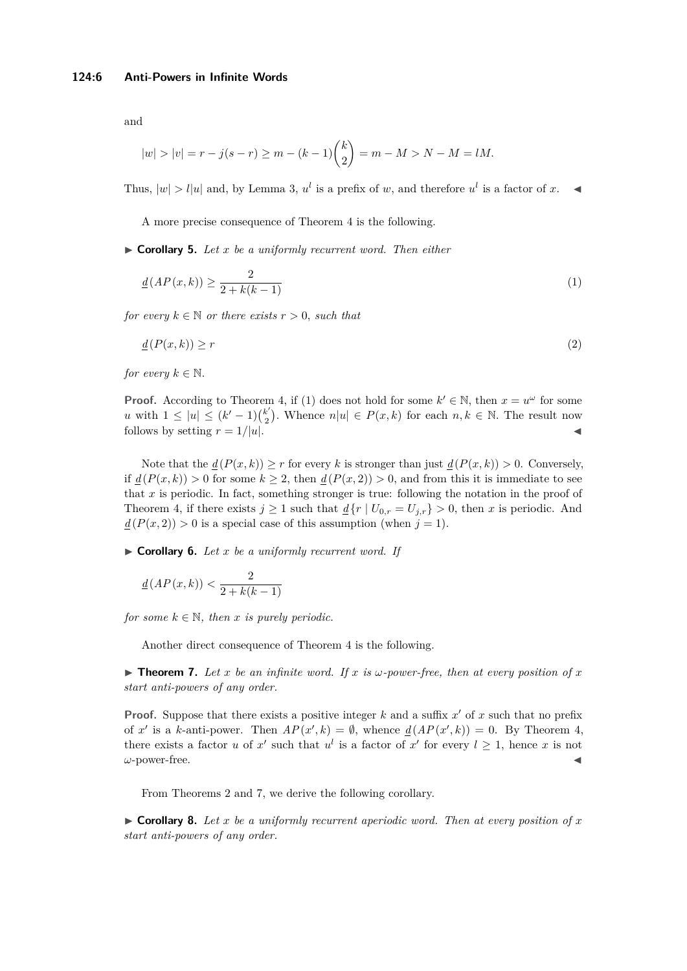$$
|w| > |v| = r - j(s - r) \ge m - (k - 1) {k \choose 2} = m - M > N - M = lM.
$$

Thus,  $|w| > l|u|$  and, by Lemma [3,](#page-3-0)  $u^l$  is a prefix of *w*, and therefore  $u^l$  is a factor of *x*.

A more precise consequence of Theorem [4](#page-4-0) is the following.

I **Corollary 5.** *Let x be a uniformly recurrent word. Then either*

$$
\underline{d}(AP(x,k)) \ge \frac{2}{2 + k(k-1)}\tag{1}
$$

*for every*  $k \in \mathbb{N}$  *or there exists*  $r > 0$ *, such that* 

$$
\underline{d}\left(P(x,k)\right) \ge r \tag{2}
$$

*for every*  $k \in \mathbb{N}$ .

**Proof.** According to Theorem [4,](#page-4-0) if (1) does not hold for some  $k' \in \mathbb{N}$ , then  $x = u^{\omega}$  for some *u* with  $1 \leq |u| \leq (k'-1)\binom{k'}{2}$ <sup>k'</sup><sub>2</sub>). Whence  $n|u| \in P(x,k)$  for each  $n, k \in \mathbb{N}$ . The result now follows by setting  $r = 1/|u|$ .

Note that the  $\underline{d}(P(x,k)) \geq r$  for every k is stronger than just  $\underline{d}(P(x,k)) > 0$ . Conversely, if  $d(P(x, k)) > 0$  for some  $k > 2$ , then  $d(P(x, 2)) > 0$ , and from this it is immediate to see that *x* is periodic. In fact, something stronger is true: following the notation in the proof of Theorem [4,](#page-4-0) if there exists  $j \ge 1$  such that  $\underline{d} \{r \mid U_{0,r} = U_{j,r}\} > 0$ , then *x* is periodic. And  $d(P(x, 2)) > 0$  is a special case of this assumption (when  $j = 1$ ).

I **Corollary 6.** *Let x be a uniformly recurrent word. If*

$$
\underline{d}\left(AP(x,k)\right) < \frac{2}{2 + k(k-1)}
$$

*for some*  $k \in \mathbb{N}$ *, then x is purely periodic.* 

Another direct consequence of Theorem [4](#page-4-0) is the following.

<span id="page-5-0"></span> $\triangleright$  **Theorem 7.** Let x be an infinite word. If x is  $\omega$ -power-free, then at every position of x *start anti-powers of any order.*

**Proof.** Suppose that there exists a positive integer  $k$  and a suffix  $x'$  of  $x$  such that no prefix of *x'* is a *k*-anti-power. Then  $AP(x', k) = \emptyset$ , whence  $\underline{d}(AP(x', k)) = 0$ . By Theorem [4,](#page-4-0) there exists a factor *u* of *x*<sup> $\prime$ </sup> such that  $u^l$  is a factor of *x*<sup> $\prime$ </sup> for every  $l \geq 1$ , hence *x* is not *ω*-power-free.

From Theorems [2](#page-3-1) and [7,](#page-5-0) we derive the following corollary.

<span id="page-5-1"></span> $\triangleright$  **Corollary 8.** Let x be a uniformly recurrent aperiodic word. Then at every position of x *start anti-powers of any order.*

and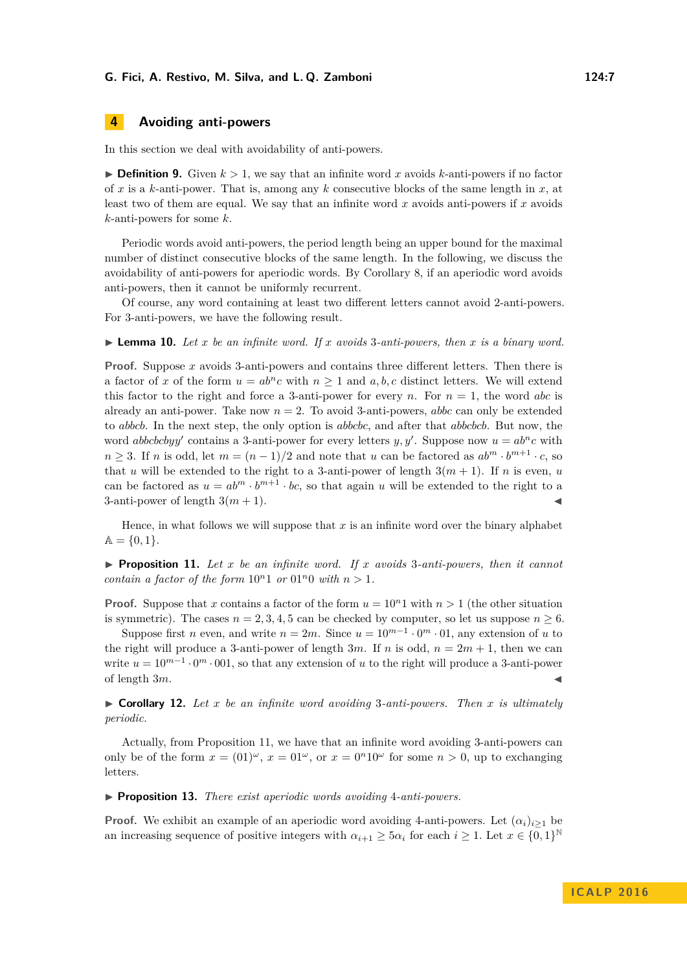# **4 Avoiding anti-powers**

In this section we deal with avoidability of anti-powers.

 $\blacktriangleright$  **Definition 9.** Given  $k > 1$ , we say that an infinite word x avoids k-anti-powers if no factor of *x* is a *k*-anti-power. That is, among any *k* consecutive blocks of the same length in *x*, at least two of them are equal. We say that an infinite word *x* avoids anti-powers if *x* avoids *k*-anti-powers for some *k*.

Periodic words avoid anti-powers, the period length being an upper bound for the maximal number of distinct consecutive blocks of the same length. In the following, we discuss the avoidability of anti-powers for aperiodic words. By Corollary [8,](#page-5-1) if an aperiodic word avoids anti-powers, then it cannot be uniformly recurrent.

Of course, any word containing at least two different letters cannot avoid 2-anti-powers. For 3-anti-powers, we have the following result.

**Lemma 10.** Let x be an infinite word. If x avoids 3-anti-powers, then x is a binary word.

**Proof.** Suppose *x* avoids 3-anti-powers and contains three different letters. Then there is a factor of x of the form  $u = ab^n c$  with  $n \ge 1$  and a, b, c distinct letters. We will extend this factor to the right and force a 3-anti-power for every *n*. For  $n = 1$ , the word *abc* is already an anti-power. Take now  $n = 2$ . To avoid 3-anti-powers, *abbc* can only be extended to *abbcb*. In the next step, the only option is *abbcbc*, and after that *abbcbcb*. But now, the word *abbcbcbyy'* contains a 3-anti-power for every letters *y, y'*. Suppose now  $u = ab^n c$  with  $n \geq 3$ . If *n* is odd, let  $m = (n-1)/2$  and note that *u* can be factored as  $ab^m \cdot b^{m+1} \cdot c$ , so that *u* will be extended to the right to a 3-anti-power of length  $3(m + 1)$ . If *n* is even, *u* can be factored as  $u = ab^m \cdot b^{m+1} \cdot bc$ , so that again *u* will be extended to the right to a 3-anti-power of length  $3(m + 1)$ .

Hence, in what follows we will suppose that *x* is an infinite word over the binary alphabet  $A = \{0, 1\}.$ 

<span id="page-6-0"></span> $\triangleright$  **Proposition 11.** Let x be an infinite word. If x avoids 3-anti-powers, then it cannot *contain a factor of the form*  $10^n1$  *or*  $01^n0$  *with*  $n > 1$ *.* 

**Proof.** Suppose that *x* contains a factor of the form  $u = 10<sup>n</sup>1$  with  $n > 1$  (the other situation is symmetric). The cases  $n = 2, 3, 4, 5$  can be checked by computer, so let us suppose  $n \geq 6$ .

Suppose first *n* even, and write  $n = 2m$ . Since  $u = 10^{m-1} \cdot 0^m \cdot 01$ , any extension of *u* to the right will produce a 3-anti-power of length  $3m$ . If *n* is odd,  $n = 2m + 1$ , then we can write  $u = 10^{m-1} \cdot 0^m \cdot 001$ , so that any extension of *u* to the right will produce a 3-anti-power of length 3m.

 $\triangleright$  **Corollary 12.** Let *x* be an infinite word avoiding 3-anti-powers. Then *x* is ultimately *periodic.*

Actually, from Proposition [11,](#page-6-0) we have that an infinite word avoiding 3-anti-powers can only be of the form  $x = (01)^{\omega}$ ,  $x = 01^{\omega}$ , or  $x = 0^n 10^{\omega}$  for some  $n > 0$ , up to exchanging letters.

I **Proposition 13.** *There exist aperiodic words avoiding* 4*-anti-powers.*

**Proof.** We exhibit an example of an aperiodic word avoiding 4-anti-powers. Let  $(\alpha_i)_{i>1}$  be an increasing sequence of positive integers with  $\alpha_{i+1} \ge 5\alpha_i$  for each  $i \ge 1$ . Let  $x \in \{0,1\}^{\mathbb{N}}$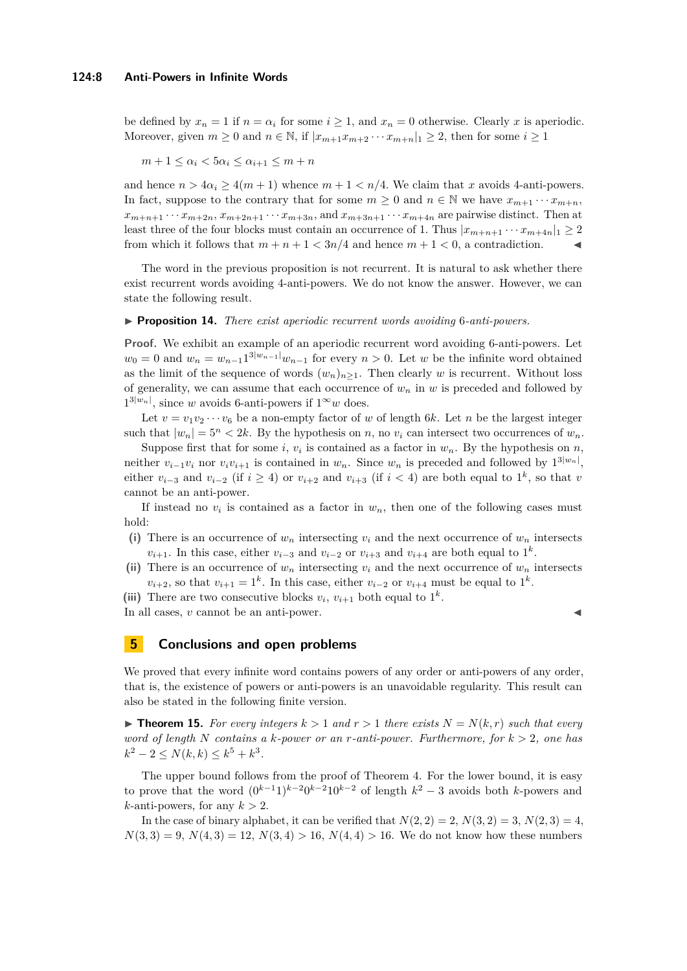be defined by  $x_n = 1$  if  $n = \alpha_i$  for some  $i \ge 1$ , and  $x_n = 0$  otherwise. Clearly x is aperiodic. Moreover, given  $m \geq 0$  and  $n \in \mathbb{N}$ , if  $|x_{m+1}x_{m+2}\cdots x_{m+n}|_1 \geq 2$ , then for some  $i \geq 1$ 

$$
m+1 \le \alpha_i < 5\alpha_i \le \alpha_{i+1} \le m+n
$$

and hence  $n > 4\alpha_i \geq 4(m+1)$  whence  $m+1 < n/4$ . We claim that *x* avoids 4-anti-powers. In fact, suppose to the contrary that for some  $m \geq 0$  and  $n \in \mathbb{N}$  we have  $x_{m+1} \cdots x_{m+n}$ ,  $x_{m+n+1} \cdots x_{m+2n}$ ,  $x_{m+2n+1} \cdots x_{m+3n}$ , and  $x_{m+3n+1} \cdots x_{m+4n}$  are pairwise distinct. Then at least three of the four blocks must contain an occurrence of 1. Thus  $|x_{m+n+1} \cdots x_{m+4n}|_1 \geq 2$ from which it follows that  $m + n + 1 < 3n/4$  and hence  $m + 1 < 0$ , a contradiction.

The word in the previous proposition is not recurrent. It is natural to ask whether there exist recurrent words avoiding 4-anti-powers. We do not know the answer. However, we can state the following result.

#### I **Proposition 14.** *There exist aperiodic recurrent words avoiding* 6*-anti-powers.*

**Proof.** We exhibit an example of an aperiodic recurrent word avoiding 6-anti-powers. Let  $w_0 = 0$  and  $w_n = w_{n-1}1^{3|w_{n-1}|}w_{n-1}$  for every  $n > 0$ . Let *w* be the infinite word obtained as the limit of the sequence of words  $(w_n)_{n\geq 1}$ . Then clearly *w* is recurrent. Without loss of generality, we can assume that each occurrence of  $w_n$  in  $w$  is preceded and followed by  $1^{3|w_n|}$ , since *w* avoids 6-anti-powers if  $1^{\infty}w$  does.

Let  $v = v_1v_2\cdots v_6$  be a non-empty factor of *w* of length 6*k*. Let *n* be the largest integer such that  $|w_n| = 5^n < 2k$ . By the hypothesis on *n*, no  $v_i$  can intersect two occurrences of  $w_n$ .

Suppose first that for some *i*,  $v_i$  is contained as a factor in  $w_n$ . By the hypothesis on *n*, neither  $v_{i-1}v_i$  nor  $v_iv_{i+1}$  is contained in  $w_n$ . Since  $w_n$  is preceded and followed by  $1^{3|w_n|}$ , either  $v_{i-3}$  and  $v_{i-2}$  (if  $i \geq 4$ ) or  $v_{i+2}$  and  $v_{i+3}$  (if  $i < 4$ ) are both equal to  $1^k$ , so that *v* cannot be an anti-power.

If instead no  $v_i$  is contained as a factor in  $w_n$ , then one of the following cases must hold:

- (i) There is an occurrence of  $w_n$  intersecting  $v_i$  and the next occurrence of  $w_n$  intersects *v*<sub>*i*+1</sub>. In this case, either  $v_{i-3}$  and  $v_{i-2}$  or  $v_{i+3}$  and  $v_{i+4}$  are both equal to 1<sup>*k*</sup>.
- (ii) There is an occurrence of  $w_n$  intersecting  $v_i$  and the next occurrence of  $w_n$  intersects  $v_{i+2}$ , so that  $v_{i+1} = 1^k$ . In this case, either  $v_{i-2}$  or  $v_{i+4}$  must be equal to  $1^k$ .

(iii) There are two consecutive blocks  $v_i$ ,  $v_{i+1}$  both equal to  $1^k$ .

In all cases,  $v$  cannot be an anti-power.

## **5 Conclusions and open problems**

We proved that every infinite word contains powers of any order or anti-powers of any order, that is, the existence of powers or anti-powers is an unavoidable regularity. This result can also be stated in the following finite version.

<span id="page-7-0"></span>**Figure 15.** For every integers  $k > 1$  and  $r > 1$  there exists  $N = N(k, r)$  such that every *word of length N contains a k-power or an r-anti-power. Furthermore, for k >* 2*, one has*  $k^2 - 2 \le N(k, k) \le k^5 + k^3$ .

The upper bound follows from the proof of Theorem [4.](#page-4-0) For the lower bound, it is easy to prove that the word  $(0^{k-1}1)^{k-2}0^{k-2}10^{k-2}$  of length  $k^2-3$  avoids both *k*-powers and *k*-anti-powers, for any  $k > 2$ .

In the case of binary alphabet, it can be verified that  $N(2, 2) = 2$ ,  $N(3, 2) = 3$ ,  $N(2, 3) = 4$ ,  $N(3,3) = 9, N(4,3) = 12, N(3,4) > 16, N(4,4) > 16$ . We do not know how these numbers